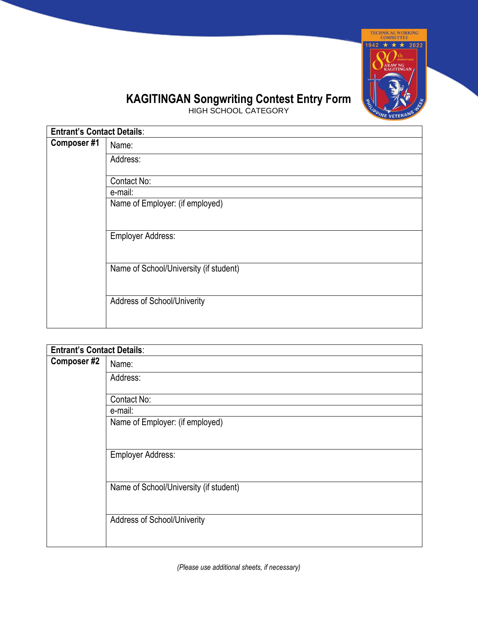

## **KAGITINGAN Songwriting Contest Entry Form**

HIGH SCHOOL CATEGORY

| <b>Entrant's Contact Details:</b> |                                        |  |
|-----------------------------------|----------------------------------------|--|
| Composer #1                       | Name:                                  |  |
|                                   | Address:                               |  |
|                                   | Contact No:                            |  |
|                                   | e-mail:                                |  |
|                                   | Name of Employer: (if employed)        |  |
|                                   |                                        |  |
|                                   | <b>Employer Address:</b>               |  |
|                                   |                                        |  |
|                                   | Name of School/University (if student) |  |
|                                   |                                        |  |
|                                   | <b>Address of School/Univerity</b>     |  |
|                                   |                                        |  |

| <b>Entrant's Contact Details:</b> |                                        |  |
|-----------------------------------|----------------------------------------|--|
| Composer #2                       | Name:                                  |  |
|                                   | Address:                               |  |
|                                   | Contact No:                            |  |
|                                   | e-mail:                                |  |
|                                   | Name of Employer: (if employed)        |  |
|                                   |                                        |  |
|                                   | <b>Employer Address:</b>               |  |
|                                   |                                        |  |
|                                   | Name of School/University (if student) |  |
|                                   |                                        |  |
|                                   | Address of School/Univerity            |  |
|                                   |                                        |  |